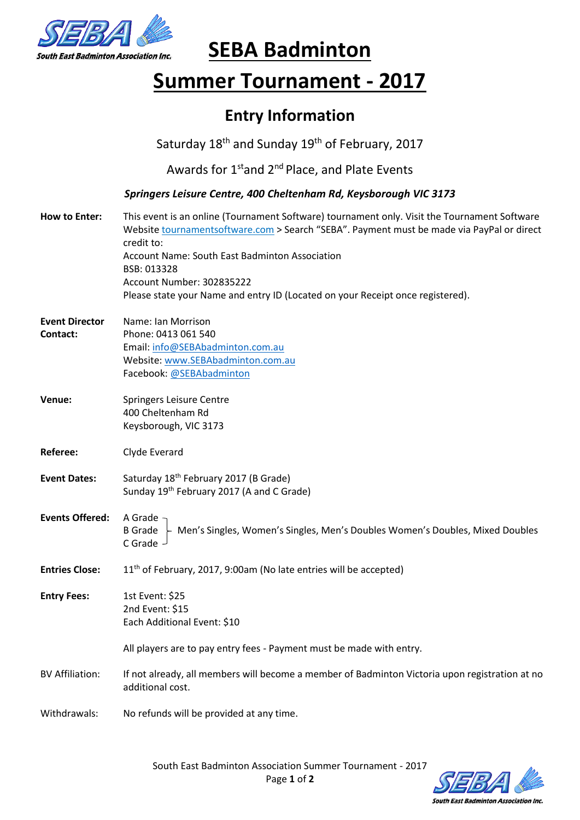

# **SEBA Badminton**

## **Summer Tournament - 2017**

### **Entry Information**

Saturday 18<sup>th</sup> and Sunday 19<sup>th</sup> of February, 2017

Awards for 1<sup>st</sup>and 2<sup>nd</sup> Place, and Plate Events

*Springers Leisure Centre, 400 Cheltenham Rd, Keysborough VIC 3173*

| <b>How to Enter:</b>              | This event is an online (Tournament Software) tournament only. Visit the Tournament Software<br>Website tournamentsoftware.com > Search "SEBA". Payment must be made via PayPal or direct<br>credit to:<br>Account Name: South East Badminton Association<br>BSB: 013328<br>Account Number: 302835222<br>Please state your Name and entry ID (Located on your Receipt once registered). |
|-----------------------------------|-----------------------------------------------------------------------------------------------------------------------------------------------------------------------------------------------------------------------------------------------------------------------------------------------------------------------------------------------------------------------------------------|
| <b>Event Director</b><br>Contact: | Name: Ian Morrison<br>Phone: 0413 061 540<br>Email: info@SEBAbadminton.com.au<br>Website: www.SEBAbadminton.com.au<br>Facebook: @SEBAbadminton                                                                                                                                                                                                                                          |
| Venue:                            | Springers Leisure Centre<br>400 Cheltenham Rd<br>Keysborough, VIC 3173                                                                                                                                                                                                                                                                                                                  |
| Referee:                          | Clyde Everard                                                                                                                                                                                                                                                                                                                                                                           |
| <b>Event Dates:</b>               | Saturday 18 <sup>th</sup> February 2017 (B Grade)<br>Sunday 19th February 2017 (A and C Grade)                                                                                                                                                                                                                                                                                          |
| <b>Events Offered:</b>            | A Grade -<br>$B$ Grade $\vdash$ Men's Singles, Women's Singles, Men's Doubles Women's Doubles, Mixed Doubles<br>C Grade -                                                                                                                                                                                                                                                               |
| <b>Entries Close:</b>             | 11 <sup>th</sup> of February, 2017, 9:00am (No late entries will be accepted)                                                                                                                                                                                                                                                                                                           |
| <b>Entry Fees:</b>                | 1st Event: \$25<br>2nd Event: \$15<br>Each Additional Event: \$10                                                                                                                                                                                                                                                                                                                       |
|                                   | All players are to pay entry fees - Payment must be made with entry.                                                                                                                                                                                                                                                                                                                    |
| <b>BV Affiliation:</b>            | If not already, all members will become a member of Badminton Victoria upon registration at no<br>additional cost.                                                                                                                                                                                                                                                                      |
| Withdrawals:                      | No refunds will be provided at any time.                                                                                                                                                                                                                                                                                                                                                |